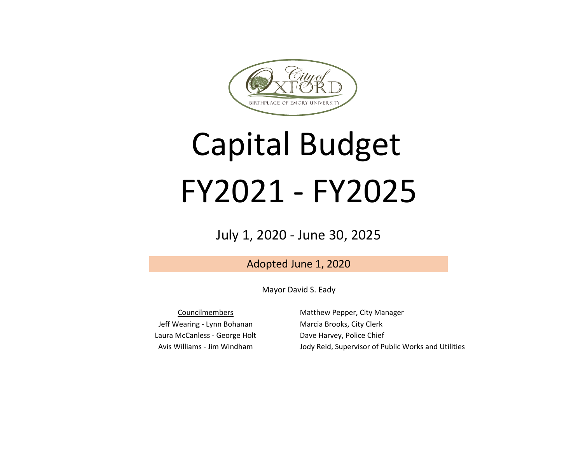

# Capital Budget FY2021 - FY2025

## July 1, 2020 - June 30, 2025

Adopted June 1, 2020

Mayor David S. Eady

Laura McCanless - George Holt Avis Williams - Jim Windham Councilmembers Jeff Wearing - Lynn Bohanan

Matthew Pepper, City Manager Marcia Brooks, City Clerk Dave Harvey, Police Chief Jody Reid, Supervisor of Public Works and Utilities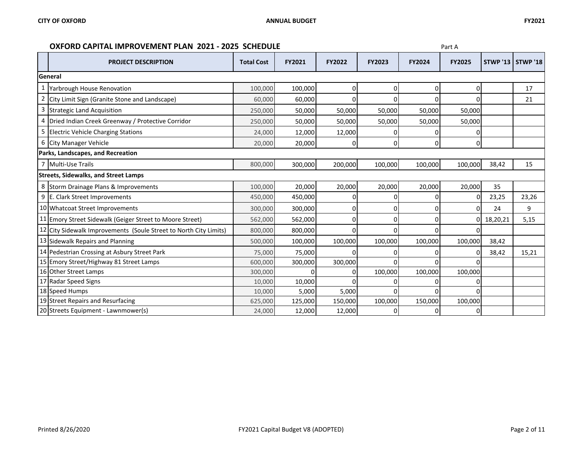### **OXFORD CAPITAL IMPROVEMENT PLAN 2021 - 2025 SCHEDULE Part A Part A**

|   | <b>PROJECT DESCRIPTION</b>                                        | <b>Total Cost</b> | FY2021  | <b>FY2022</b> | <b>FY2023</b> | <b>FY2024</b> | <b>FY2025</b> |          | <b>STWP '13   STWP '18  </b> |
|---|-------------------------------------------------------------------|-------------------|---------|---------------|---------------|---------------|---------------|----------|------------------------------|
|   | General                                                           |                   |         |               |               |               |               |          |                              |
|   | Yarbrough House Renovation                                        | 100,000           | 100,000 | 0             | 0             | 01            | ი             |          | 17                           |
| 2 | City Limit Sign (Granite Stone and Landscape)                     | 60,000            | 60,000  | C             |               |               |               |          | 21                           |
| 3 | <b>Strategic Land Acquisition</b>                                 | 250,000           | 50,000  | 50,000        | 50,000        | 50,000        | 50,000        |          |                              |
| 4 | Dried Indian Creek Greenway / Protective Corridor                 | 250,000           | 50,000  | 50,000        | 50,000        | 50,000        | 50,000        |          |                              |
| 5 | <b>Electric Vehicle Charging Stations</b>                         | 24,000            | 12,000  | 12,000        |               |               |               |          |                              |
|   | 6 City Manager Vehicle                                            | 20,000            | 20,000  | <sup>0</sup>  | U             | ΩI            | 0             |          |                              |
|   | Parks, Landscapes, and Recreation                                 |                   |         |               |               |               |               |          |                              |
|   | 7 Multi-Use Trails                                                | 800,000           | 300,000 | 200,000       | 100,000       | 100,000       | 100,000       | 38,42    | 15                           |
|   | <b>Streets, Sidewalks, and Street Lamps</b>                       |                   |         |               |               |               |               |          |                              |
|   | 8 Storm Drainage Plans & Improvements                             | 100,000           | 20,000  | 20,000        | 20,000        | 20,000        | 20,000        | 35       |                              |
|   | 9 E. Clark Street Improvements                                    | 450,000           | 450,000 |               |               |               |               | 23,25    | 23,26                        |
|   | 10 Whatcoat Street Improvements                                   | 300,000           | 300,000 | C             |               |               |               | 24       | 9                            |
|   | 11 Emory Street Sidewalk (Geiger Street to Moore Street)          | 562,000           | 562,000 | C             |               |               | 01            | 18,20,21 | 5,15                         |
|   | 12 City Sidewalk Improvements (Soule Street to North City Limits) | 800,000           | 800,000 | $\Omega$      |               |               |               |          |                              |
|   | 13 Sidewalk Repairs and Planning                                  | 500,000           | 100,000 | 100,000       | 100,000       | 100,000       | 100,000       | 38,42    |                              |
|   | 14 Pedestrian Crossing at Asbury Street Park                      | 75,000            | 75,000  |               |               |               |               | 38,42    | 15,21                        |
|   | 15 Emory Street/Highway 81 Street Lamps                           | 600,000           | 300,000 | 300,000       |               |               |               |          |                              |
|   | 16 Other Street Lamps                                             | 300,000           | U       | C             | 100,000       | 100,000       | 100,000       |          |                              |
|   | 17 Radar Speed Signs                                              | 10,000            | 10,000  |               |               |               |               |          |                              |
|   | 18 Speed Humps                                                    | 10,000            | 5,000   | 5,000         |               |               |               |          |                              |
|   | 19 Street Repairs and Resurfacing                                 | 625,000           | 125,000 | 150,000       | 100,000       | 150,000       | 100,000       |          |                              |
|   | 20 Streets Equipment - Lawnmower(s)                               | 24,000            | 12,000  | 12,000        |               |               |               |          |                              |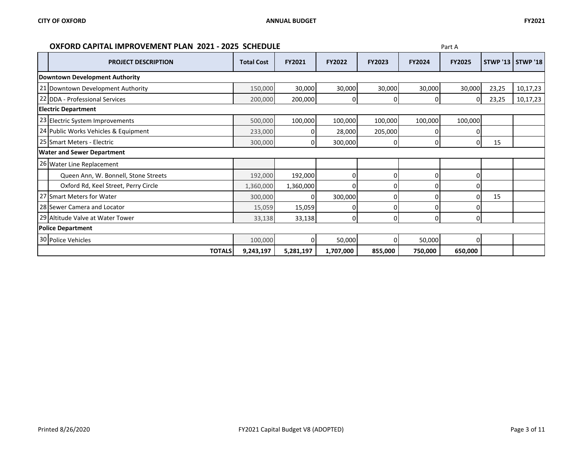### **OXFORD CAPITAL IMPROVEMENT PLAN 2021 - 2025 SCHEDULE Part A Part A**

| <b>PROJECT DESCRIPTION</b>           | <b>Total Cost</b> | FY2021    | FY2022    | FY2023   | <b>FY2024</b> | <b>FY2025</b> |       | <b>STWP '13   STWP '18  </b> |
|--------------------------------------|-------------------|-----------|-----------|----------|---------------|---------------|-------|------------------------------|
| Downtown Development Authority       |                   |           |           |          |               |               |       |                              |
| 21 Downtown Development Authority    | 150,000           | 30,000    | 30,000    | 30,000   | 30,000        | 30,000        | 23,25 | 10,17,23                     |
| 22 DDA - Professional Services       | 200,000           | 200,000   | 0         | n        |               | $\Omega$      | 23,25 | 10,17,23                     |
| <b>Electric Department</b>           |                   |           |           |          |               |               |       |                              |
| 23 Electric System Improvements      | 500,000           | 100,000   | 100,000   | 100,000  | 100,000       | 100,000       |       |                              |
| 24 Public Works Vehicles & Equipment | 233,000           | 0         | 28,000    | 205,000  |               |               |       |                              |
| 25 Smart Meters - Electric           | 300,000           | 0         | 300,000   | 0        | ŋ             | 0             | 15    |                              |
| <b>Water and Sewer Department</b>    |                   |           |           |          |               |               |       |                              |
| 26 Water Line Replacement            |                   |           |           |          |               |               |       |                              |
| Queen Ann, W. Bonnell, Stone Streets | 192,000           | 192,000   | 0         | O        |               |               |       |                              |
| Oxford Rd, Keel Street, Perry Circle | 1,360,000         | 1,360,000 | 0         | ſ        |               |               |       |                              |
| 27 Smart Meters for Water            | 300,000           | 0         | 300,000   | ſ        |               |               | 15    |                              |
| 28 Sewer Camera and Locator          | 15,059            | 15,059    | 0         | $\Omega$ |               |               |       |                              |
| 29 Altitude Valve at Water Tower     | 33,138            | 33,138    | 0         | O        |               |               |       |                              |
| <b>Police Department</b>             |                   |           |           |          |               |               |       |                              |
| 30 Police Vehicles                   | 100,000           | 0         | 50,000    | n        | 50,000        |               |       |                              |
| <b>TOTALS</b>                        | 9,243,197         | 5,281,197 | 1,707,000 | 855,000  | 750,000       | 650,000       |       |                              |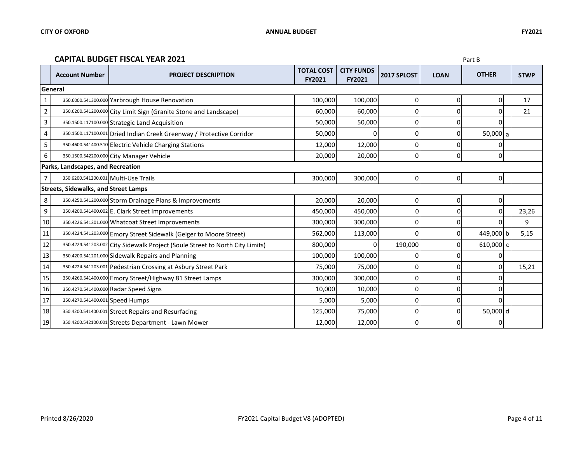#### **CAPITAL BUDGET FISCAL YEAR 2021** Part B

|                | <b>Account Number</b>                       | <b>PROJECT DESCRIPTION</b>                                                    | <b>TOTAL COST</b><br><b>FY2021</b> | <b>CITY FUNDS</b><br><b>FY2021</b> | 2017 SPLOST | <b>LOAN</b>         | <b>OTHER</b> | <b>STWP</b> |
|----------------|---------------------------------------------|-------------------------------------------------------------------------------|------------------------------------|------------------------------------|-------------|---------------------|--------------|-------------|
|                | General                                     |                                                                               |                                    |                                    |             |                     |              |             |
| 1              |                                             | 350.6000.541300.000 Yarbrough House Renovation                                | 100,000                            | 100,000                            | 0           | 0                   | 0            | 17          |
| $\overline{2}$ |                                             | 350.6200.541200.000 City Limit Sign (Granite Stone and Landscape)             | 60,000                             | 60,000                             | 0           | $\Omega$            | ΩI           | 21          |
| 3              |                                             | 350.1500.117100.000 Strategic Land Acquisition                                | 50,000                             | 50,000                             | 0           | $\Omega$            | $\Omega$     |             |
| $\overline{a}$ |                                             | 350.1500.117100.001 Dried Indian Creek Greenway / Protective Corridor         | 50,000                             |                                    | 0           | 0                   | $50,000$ a   |             |
| 5              |                                             | 350.4600.541400.510 Electric Vehicle Charging Stations                        | 12,000                             | 12,000                             | 0           | 0                   | $\Omega$     |             |
| 6              |                                             | 350.1500.542200.000 City Manager Vehicle                                      | 20,000                             | 20,000                             | 0           | $\Omega$            | ΩI           |             |
|                | Parks, Landscapes, and Recreation           |                                                                               |                                    |                                    |             |                     |              |             |
|                | 350.6200.541200.001 Multi-Use Trails        |                                                                               | 300,000                            | 300,000                            | 0           | $\mathsf{O}\xspace$ | 0            |             |
|                | <b>Streets, Sidewalks, and Street Lamps</b> |                                                                               |                                    |                                    |             |                     |              |             |
| 8              |                                             | 350.4250.541200.000 Storm Drainage Plans & Improvements                       | 20,000                             | 20,000                             | 0           | 0                   | 0            |             |
| 9              |                                             | 350.4200.541400.002 E. Clark Street Improvements                              | 450,000                            | 450,000                            | 0           | $\Omega$            | $\Omega$     | 23,26       |
| 10             |                                             | 350.4226.541201.000 Whatcoat Street Improvements                              | 300,000                            | 300,000                            | 0           | $\mathbf 0$         | $\Omega$     | 9           |
| 11             |                                             | 350.4224.541203.000 Emory Street Sidewalk (Geiger to Moore Street)            | 562,000                            | 113,000                            | 0           | 0                   | 449,000 b    | 5,15        |
| 12             |                                             | 350.4224.541203.002 City Sidewalk Project (Soule Street to North City Limits) | 800,000                            |                                    | 190,000     | 0                   | 610,000 c    |             |
| 13             |                                             | 350.4200.541201.000 Sidewalk Repairs and Planning                             | 100,000                            | 100,000                            |             | C                   | $\Omega$     |             |
| 14             |                                             | 350.4224.541203.001 Pedestrian Crossing at Asbury Street Park                 | 75,000                             | 75,000                             | 0           | 0                   | 0            | 15,21       |
| 15             |                                             | 350.4260.541400.000 Emory Street/Highway 81 Street Lamps                      | 300,000                            | 300,000                            | 0           | 0                   | 0            |             |
| 16             |                                             | 350.4270.541400.000 Radar Speed Signs                                         | 10,000                             | 10,000                             | 0           | $\Omega$            | ΩI           |             |
| 17             | 350.4270.541400.001 Speed Humps             |                                                                               | 5,000                              | 5,000                              | 0           | $\Omega$            | $\Omega$     |             |
| 18             |                                             | 350.4200.541400.001 Street Repairs and Resurfacing                            | 125,000                            | 75,000                             | 0           | $\mathbf 0$         | 50,000 d     |             |
| 19             |                                             | 350.4200.542100.001 Streets Department - Lawn Mower                           | 12,000                             | 12,000                             | 0           | 0                   | 0            |             |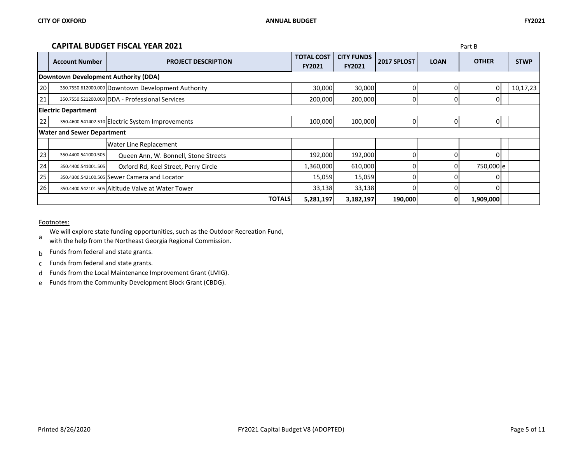#### **CAPITAL BUDGET FISCAL YEAR 2021** Part B

|                            |                                                                       | <u>CALILAL DODOLI TIJCAL TLAN ZVZI</u>             |                                    |                                    |             |             | <b>Γαιι υ</b> |             |  |
|----------------------------|-----------------------------------------------------------------------|----------------------------------------------------|------------------------------------|------------------------------------|-------------|-------------|---------------|-------------|--|
|                            | <b>Account Number</b>                                                 | <b>PROJECT DESCRIPTION</b>                         | <b>TOTAL COST</b><br><b>FY2021</b> | <b>CITY FUNDS</b><br><b>FY2021</b> | 2017 SPLOST | <b>LOAN</b> | <b>OTHER</b>  | <b>STWP</b> |  |
|                            | Downtown Development Authority (DDA)                                  |                                                    |                                    |                                    |             |             |               |             |  |
| 20                         |                                                                       | 350.7550.612000.000 Downtown Development Authority | 30,000                             | 30,000                             |             |             |               | 10,17,23    |  |
| 21                         |                                                                       | 350.7550.521200.000 DDA - Professional Services    | 200,000                            | 200,000                            | Ω           | $\Omega$    |               |             |  |
| <b>Electric Department</b> |                                                                       |                                                    |                                    |                                    |             |             |               |             |  |
| 22                         |                                                                       | 350.4600.541402.510 Electric System Improvements   | 100,000                            | 100,000                            |             | 0           |               |             |  |
|                            | <b>Water and Sewer Department</b>                                     |                                                    |                                    |                                    |             |             |               |             |  |
|                            |                                                                       | Water Line Replacement                             |                                    |                                    |             |             |               |             |  |
| 23                         | 350.4400.541000.505                                                   | Queen Ann, W. Bonnell, Stone Streets               | 192,000                            | 192,000                            |             |             |               |             |  |
| 24                         | 350.4400.541001.505                                                   | Oxford Rd, Keel Street, Perry Circle               | 1,360,000                          | 610,000                            |             | $\Omega$    | 750,000 e     |             |  |
| 25                         |                                                                       | 350.4300.542100.505 Sewer Camera and Locator       | 15,059                             | 15,059                             |             |             |               |             |  |
| 26                         |                                                                       | 350.4400.542101.505 Altitude Valve at Water Tower  | 33,138                             | 33,138                             |             |             |               |             |  |
|                            | <b>TOTALS</b><br>190,000<br>5,281,197<br>3,182,197<br>1,909,000<br>Οl |                                                    |                                    |                                    |             |             |               |             |  |

Footnotes:

We will explore state funding opportunities, such as the Outdoor Recreation Fund,

a with the help from the Northeast Georgia Regional Commission.

b Funds from federal and state grants.

c Funds from federal and state grants.

d Funds from the Local Maintenance Improvement Grant (LMIG).

e Funds from the Community Development Block Grant (CBDG).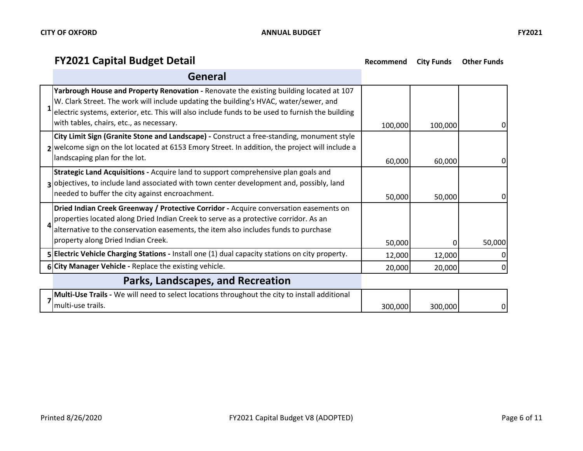## **FY2021 Capital Budget Detail Recommend City Funds Other Funds**

| General                                                                                                                                                                                                                                                                                                                          |         |         |        |
|----------------------------------------------------------------------------------------------------------------------------------------------------------------------------------------------------------------------------------------------------------------------------------------------------------------------------------|---------|---------|--------|
| Yarbrough House and Property Renovation - Renovate the existing building located at 107<br>W. Clark Street. The work will include updating the building's HVAC, water/sewer, and<br>electric systems, exterior, etc. This will also include funds to be used to furnish the building<br>with tables, chairs, etc., as necessary. | 100,000 | 100,000 | 0      |
| City Limit Sign (Granite Stone and Landscape) - Construct a free-standing, monument style<br>2 welcome sign on the lot located at 6153 Emory Street. In addition, the project will include a<br>landscaping plan for the lot.                                                                                                    | 60,000  | 60,000  |        |
| Strategic Land Acquisitions - Acquire land to support comprehensive plan goals and<br>3 objectives, to include land associated with town center development and, possibly, land<br>needed to buffer the city against encroachment.                                                                                               | 50,000  | 50,000  |        |
| Dried Indian Creek Greenway / Protective Corridor - Acquire conversation easements on<br>properties located along Dried Indian Creek to serve as a protective corridor. As an<br>alternative to the conservation easements, the item also includes funds to purchase<br>property along Dried Indian Creek.                       | 50,000  |         | 50,000 |
| 5 Electric Vehicle Charging Stations - Install one (1) dual capacity stations on city property.                                                                                                                                                                                                                                  | 12,000  | 12,000  |        |
| 6 City Manager Vehicle - Replace the existing vehicle.                                                                                                                                                                                                                                                                           | 20,000  | 20,000  |        |
| Parks, Landscapes, and Recreation                                                                                                                                                                                                                                                                                                |         |         |        |
| Multi-Use Trails - We will need to select locations throughout the city to install additional<br>multi-use trails.                                                                                                                                                                                                               | 300,000 | 300,000 |        |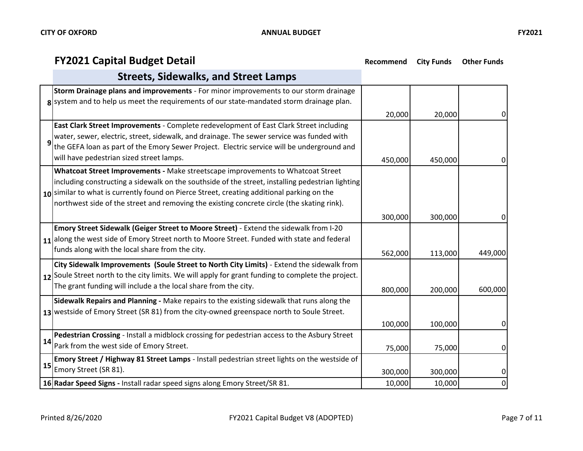## **FY2021 Capital Budget Detail Recommend City Funds Other Funds**

|    | <b>Streets, Sidewalks, and Street Lamps</b>                                                                                                                                                                                                                                                                                                                                     |         |         |         |
|----|---------------------------------------------------------------------------------------------------------------------------------------------------------------------------------------------------------------------------------------------------------------------------------------------------------------------------------------------------------------------------------|---------|---------|---------|
|    | Storm Drainage plans and improvements - For minor improvements to our storm drainage<br>g system and to help us meet the requirements of our state-mandated storm drainage plan.                                                                                                                                                                                                | 20,000  | 20,000  | 0       |
| 9  | East Clark Street Improvements - Complete redevelopment of East Clark Street including<br>water, sewer, electric, street, sidewalk, and drainage. The sewer service was funded with<br>the GEFA loan as part of the Emory Sewer Project. Electric service will be underground and<br>will have pedestrian sized street lamps.                                                   | 450,000 | 450,000 | 0       |
|    | Whatcoat Street Improvements - Make streetscape improvements to Whatcoat Street<br>including constructing a sidewalk on the southside of the street, installing pedestrian lighting<br>10 similar to what is currently found on Pierce Street, creating additional parking on the<br>northwest side of the street and removing the existing concrete circle (the skating rink). | 300,000 | 300,000 | 0       |
|    | Emory Street Sidewalk (Geiger Street to Moore Street) - Extend the sidewalk from I-20<br>$11$ along the west side of Emory Street north to Moore Street. Funded with state and federal<br>funds along with the local share from the city.                                                                                                                                       | 562,000 | 113,000 | 449,000 |
|    | City Sidewalk Improvements (Soule Street to North City Limits) - Extend the sidewalk from<br>12 Soule Street north to the city limits. We will apply for grant funding to complete the project.<br>The grant funding will include a the local share from the city.                                                                                                              | 800,000 | 200,000 | 600,000 |
|    | Sidewalk Repairs and Planning - Make repairs to the existing sidewalk that runs along the<br>13 westside of Emory Street (SR 81) from the city-owned greenspace north to Soule Street.                                                                                                                                                                                          | 100,000 | 100,000 | 0       |
| 14 | Pedestrian Crossing - Install a midblock crossing for pedestrian access to the Asbury Street<br>Park from the west side of Emory Street.                                                                                                                                                                                                                                        | 75,000  | 75,000  | 0       |
| 15 | Emory Street / Highway 81 Street Lamps - Install pedestrian street lights on the westside of<br>Emory Street (SR 81).                                                                                                                                                                                                                                                           | 300,000 | 300,000 | 0       |
|    | 16 Radar Speed Signs - Install radar speed signs along Emory Street/SR 81.                                                                                                                                                                                                                                                                                                      | 10,000  | 10,000  | 0       |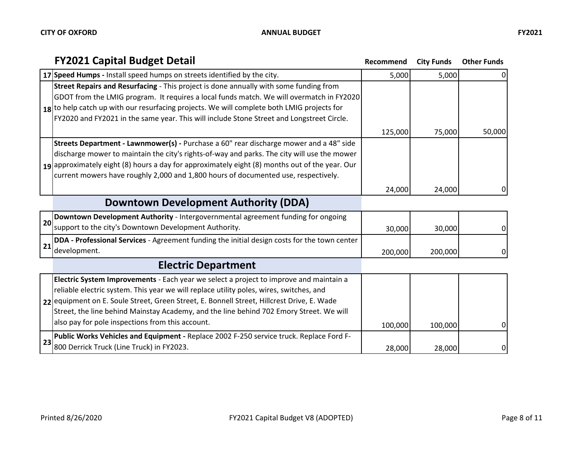|    | <b>FY2021 Capital Budget Detail</b>                                                            | Recommend | <b>City Funds</b> | <b>Other Funds</b> |
|----|------------------------------------------------------------------------------------------------|-----------|-------------------|--------------------|
|    | 17 Speed Humps - Install speed humps on streets identified by the city.                        | 5,000     | 5,000             | 0                  |
|    | Street Repairs and Resurfacing - This project is done annually with some funding from          |           |                   |                    |
|    | GDOT from the LMIG program. It requires a local funds match. We will overmatch in FY2020       |           |                   |                    |
|    | $18$ to help catch up with our resurfacing projects. We will complete both LMIG projects for   |           |                   |                    |
|    | FY2020 and FY2021 in the same year. This will include Stone Street and Longstreet Circle.      |           |                   |                    |
|    |                                                                                                | 125,000   | 75,000            | 50,000             |
|    | Streets Department - Lawnmower(s) - Purchase a 60" rear discharge mower and a 48" side         |           |                   |                    |
|    | discharge mower to maintain the city's rights-of-way and parks. The city will use the mower    |           |                   |                    |
|    | 19 approximately eight (8) hours a day for approximately eight (8) months out of the year. Our |           |                   |                    |
|    | current mowers have roughly 2,000 and 1,800 hours of documented use, respectively.             |           |                   |                    |
|    |                                                                                                | 24,000    | 24,000            | 0                  |
|    | Downtown Development Authority (DDA)                                                           |           |                   |                    |
|    | Downtown Development Authority - Intergovernmental agreement funding for ongoing               |           |                   |                    |
| 20 | support to the city's Downtown Development Authority.                                          | 30,000    | 30,000            | $\overline{0}$     |
| 21 | DDA - Professional Services - Agreement funding the initial design costs for the town center   |           |                   |                    |
|    | development.                                                                                   | 200,000   | 200,000           | $\Omega$           |
|    | <b>Electric Department</b>                                                                     |           |                   |                    |
|    | Electric System Improvements - Each year we select a project to improve and maintain a         |           |                   |                    |
|    | reliable electric system. This year we will replace utility poles, wires, switches, and        |           |                   |                    |
|    | 22 equipment on E. Soule Street, Green Street, E. Bonnell Street, Hillcrest Drive, E. Wade     |           |                   |                    |
|    | Street, the line behind Mainstay Academy, and the line behind 702 Emory Street. We will        |           |                   |                    |
|    | also pay for pole inspections from this account.                                               | 100,000   | 100,000           | $\overline{0}$     |
|    | Public Works Vehicles and Equipment - Replace 2002 F-250 service truck. Replace Ford F-        |           |                   |                    |
| 23 | 800 Derrick Truck (Line Truck) in FY2023.                                                      | 28,000    | 28,000            | $\Omega$           |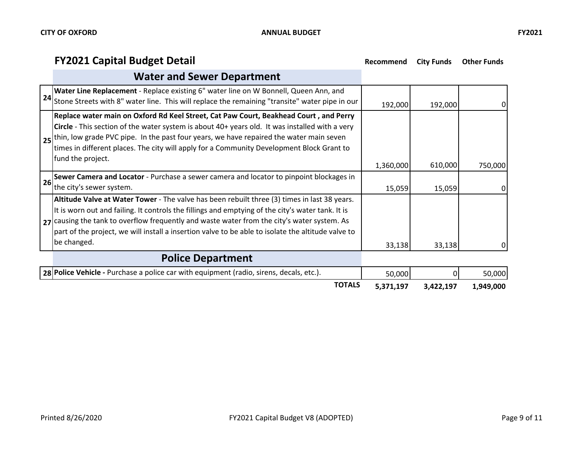## **FY2021 Capital Budget Detail Recommend** City Funds Other Funds

|    | <b>Water and Sewer Department</b>                                                                                                                                                                                                                                                                                                                                                                                       |           |           |           |
|----|-------------------------------------------------------------------------------------------------------------------------------------------------------------------------------------------------------------------------------------------------------------------------------------------------------------------------------------------------------------------------------------------------------------------------|-----------|-----------|-----------|
|    | Water Line Replacement - Replace existing 6" water line on W Bonnell, Queen Ann, and<br>$24$ Stone Streets with 8" water line. This will replace the remaining "transite" water pipe in our                                                                                                                                                                                                                             | 192,000   | 192,000   | 0         |
|    | Replace water main on Oxford Rd Keel Street, Cat Paw Court, Beakhead Court, and Perry<br>Circle - This section of the water system is about 40+ years old. It was installed with a very<br>25 thin, low grade PVC pipe. In the past four years, we have repaired the water main seven<br>times in different places. The city will apply for a Community Development Block Grant to<br>fund the project.                 | 1,360,000 | 610,000   | 750,000   |
| 26 | Sewer Camera and Locator - Purchase a sewer camera and locator to pinpoint blockages in<br>the city's sewer system.                                                                                                                                                                                                                                                                                                     | 15,059    | 15,059    | 0         |
|    | Altitude Valve at Water Tower - The valve has been rebuilt three (3) times in last 38 years.<br>It is worn out and failing. It controls the fillings and emptying of the city's water tank. It is<br>$27$ causing the tank to overflow frequently and waste water from the city's water system. As<br>part of the project, we will install a insertion valve to be able to isolate the altitude valve to<br>be changed. | 33,138    | 33,138    | $\Omega$  |
|    | <b>Police Department</b>                                                                                                                                                                                                                                                                                                                                                                                                |           |           |           |
|    | 28 Police Vehicle - Purchase a police car with equipment (radio, sirens, decals, etc.).                                                                                                                                                                                                                                                                                                                                 | 50,000    | 0         | 50,000    |
|    | <b>TOTALS</b>                                                                                                                                                                                                                                                                                                                                                                                                           | 5,371,197 | 3,422,197 | 1,949,000 |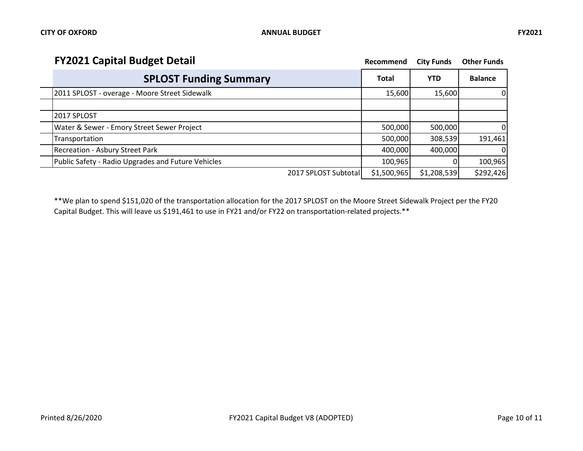| <b>FY2021 Capital Budget Detail</b><br>Recommend   |              | <b>City Funds</b> | <b>Other Funds</b> |
|----------------------------------------------------|--------------|-------------------|--------------------|
| <b>SPLOST Funding Summary</b>                      | <b>Total</b> | <b>YTD</b>        | <b>Balance</b>     |
| 2011 SPLOST - overage - Moore Street Sidewalk      | 15,600       | 15,600            | 01                 |
| 2017 SPLOST                                        |              |                   |                    |
| Water & Sewer - Emory Street Sewer Project         | 500,000      | 500,000           | 0                  |
| Transportation                                     | 500,000      | 308,539           | 191,461            |
| <b>Recreation - Asbury Street Park</b>             | 400,000      | 400,000           | $\Omega$           |
| Public Safety - Radio Upgrades and Future Vehicles | 100,965      |                   | 100,965            |
| 2017 SPLOST Subtotal                               | \$1,500,965  | \$1,208,539       | \$292,426          |

\*\*We plan to spend \$151,020 of the transportation allocation for the 2017 SPLOST on the Moore Street Sidewalk Project per the FY20 Capital Budget. This will leave us \$191,461 to use in FY21 and/or FY22 on transportation-related projects.\*\*